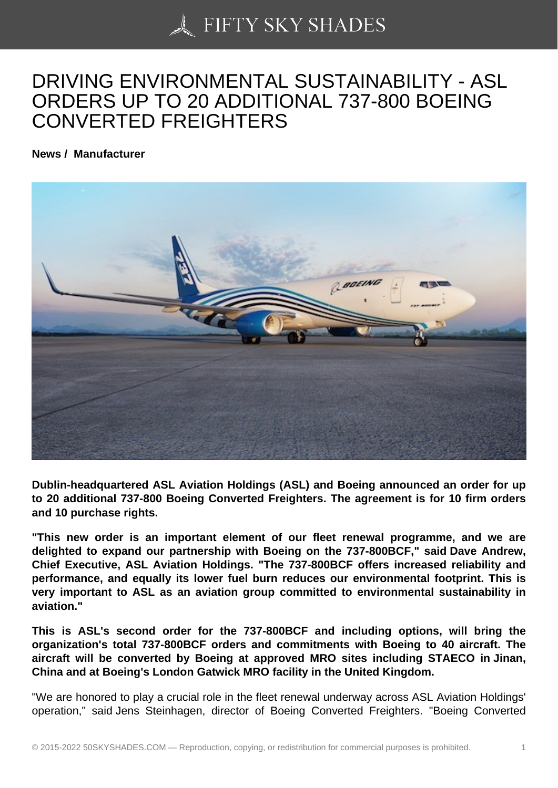## [DRIVING ENVIRONME](https://50skyshades.com)NTAL SUSTAINABILITY - ASL ORDERS UP TO 20 ADDITIONAL 737-800 BOEING CONVERTED FREIGHTERS

News / Manufacturer

Dublin-headquartered ASL Aviation Holdings (ASL) and Boeing announced an order for up to 20 additional 737-800 Boeing Converted Freighters. The agreement is for 10 firm orders and 10 purchase rights.

"This new order is an important element of our fleet renewal programme, and we are delighted to expand our partnership with Boeing on the 737-800BCF," said Dave Andrew, Chief Executive, ASL Aviation Holdings. "The 737-800BCF offers increased reliability and performance, and equally its lower fuel burn reduces our environmental footprint. This is very important to ASL as an aviation group committed to environmental sustainability in aviation."

This is ASL's second order for the 737-800BCF and including options, will bring the organization's total 737-800BCF orders and commitments with Boeing to 40 aircraft. The aircraft will be converted by Boeing at approved MRO sites including STAECO in Jinan, China and at Boeing's London Gatwick MRO facility in the United Kingdom.

"We are honored to play a crucial role in the fleet renewal underway across ASL Aviation Holdings' operation," said Jens Steinhagen, director of Boeing Converted Freighters. "Boeing Converted